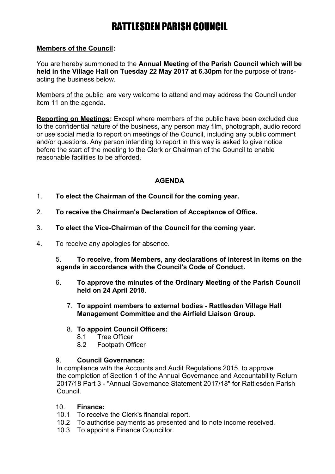# RATTLESDEN PARISH COUNCIL

### **Members of the Council:**

You are hereby summoned to the **Annual Meeting of the Parish Council which will be held in the Village Hall on Tuesday 22 May 2017 at 6.30pm** for the purpose of transacting the business below.

Members of the public: are very welcome to attend and may address the Council under item 11 on the agenda.

**Reporting on Meetings:** Except where members of the public have been excluded due to the confidential nature of the business, any person may film, photograph, audio record or use social media to report on meetings of the Council, including any public comment and/or questions. Any person intending to report in this way is asked to give notice before the start of the meeting to the Clerk or Chairman of the Council to enable reasonable facilities to be afforded.

# **AGENDA**

- 1. **To elect the Chairman of the Council for the coming year.**
- 2. **To receive the Chairman's Declaration of Acceptance of Office.**
- 3. **To elect the Vice-Chairman of the Council for the coming year.**
- 4. To receive any apologies for absence.

5. **To receive, from Members, any declarations of interest in items on the agenda in accordance with the Council's Code of Conduct.**

- 6. **To approve the minutes of the Ordinary Meeting of the Parish Council held on 24 April 2018.**
	- 7. **To appoint members to external bodies Rattlesden Village Hall Management Committee and the Airfield Liaison Group.**
	- 8. **To appoint Council Officers:**
		- 8.1 Tree Officer
		- 8.2 Footpath Officer

#### 9. **Council Governance:**

In compliance with the Accounts and Audit Regulations 2015, to approve the completion of Section 1 of the Annual Governance and Accountability Return 2017/18 Part 3 - "Annual Governance Statement 2017/18" for Rattlesden Parish Council.

## 10. **Finance:**

- 10.1 To receive the Clerk's financial report.
- 10.2 To authorise payments as presented and to note income received.
- 10.3 To appoint a Finance Councillor.